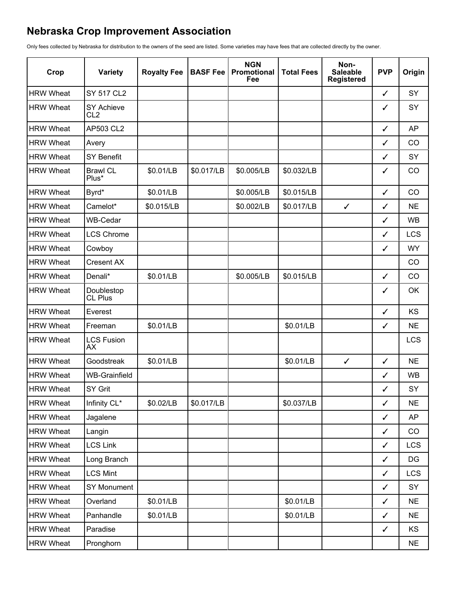## **Nebraska Crop Improvement Association**

Only fees collected by Nebraska for distribution to the owners of the seed are listed. Some varieties may have fees that are collected directly by the owner.

| Crop             | <b>Variety</b>                       | <b>Royalty Fee</b> | <b>BASF Fee</b> | <b>NGN</b><br>Promotional<br>Fee | <b>Total Fees</b> | Non-<br><b>Saleable</b><br><b>Registered</b> | <b>PVP</b>   | Origin     |
|------------------|--------------------------------------|--------------------|-----------------|----------------------------------|-------------------|----------------------------------------------|--------------|------------|
| <b>HRW Wheat</b> | <b>SY 517 CL2</b>                    |                    |                 |                                  |                   |                                              | $\checkmark$ | SY         |
| <b>HRW Wheat</b> | <b>SY Achieve</b><br>CL <sub>2</sub> |                    |                 |                                  |                   |                                              | ✓            | SY         |
| <b>HRW Wheat</b> | AP503 CL2                            |                    |                 |                                  |                   |                                              | ✓            | <b>AP</b>  |
| <b>HRW Wheat</b> | Avery                                |                    |                 |                                  |                   |                                              | $\checkmark$ | CO         |
| <b>HRW Wheat</b> | <b>SY Benefit</b>                    |                    |                 |                                  |                   |                                              | $\checkmark$ | SY         |
| <b>HRW Wheat</b> | <b>Brawl CL</b><br>Plus*             | \$0.01/LB          | \$0.017/LB      | \$0.005/LB                       | \$0.032/LB        |                                              | ✓            | CO         |
| <b>HRW Wheat</b> | Byrd*                                | \$0.01/LB          |                 | \$0.005/LB                       | \$0.015/LB        |                                              | $\checkmark$ | CO         |
| <b>HRW Wheat</b> | Camelot*                             | \$0.015/LB         |                 | \$0.002/LB                       | \$0.017/LB        | $\checkmark$                                 | ✓            | <b>NE</b>  |
| <b>HRW Wheat</b> | WB-Cedar                             |                    |                 |                                  |                   |                                              | ✓            | <b>WB</b>  |
| <b>HRW Wheat</b> | <b>LCS Chrome</b>                    |                    |                 |                                  |                   |                                              | ✓            | <b>LCS</b> |
| <b>HRW Wheat</b> | Cowboy                               |                    |                 |                                  |                   |                                              | ✓            | <b>WY</b>  |
| <b>HRW Wheat</b> | <b>Cresent AX</b>                    |                    |                 |                                  |                   |                                              |              | CO         |
| <b>HRW Wheat</b> | Denali*                              | \$0.01/LB          |                 | \$0.005/LB                       | \$0.015/LB        |                                              | ✓            | CO         |
| <b>HRW Wheat</b> | Doublestop<br>CL Plus                |                    |                 |                                  |                   |                                              | ✓            | OK         |
| <b>HRW Wheat</b> | Everest                              |                    |                 |                                  |                   |                                              | ✓            | KS         |
| <b>HRW Wheat</b> | Freeman                              | \$0.01/LB          |                 |                                  | \$0.01/LB         |                                              | $\checkmark$ | <b>NE</b>  |
| <b>HRW Wheat</b> | <b>LCS Fusion</b><br><b>AX</b>       |                    |                 |                                  |                   |                                              |              | <b>LCS</b> |
| <b>HRW Wheat</b> | Goodstreak                           | \$0.01/LB          |                 |                                  | \$0.01/LB         | $\checkmark$                                 | $\checkmark$ | <b>NE</b>  |
| <b>HRW Wheat</b> | <b>WB-Grainfield</b>                 |                    |                 |                                  |                   |                                              | ✓            | <b>WB</b>  |
| <b>HRW Wheat</b> | SY Grit                              |                    |                 |                                  |                   |                                              | $\checkmark$ | SY         |
| <b>HRW Wheat</b> | Infinity CL*                         | \$0.02/LB          | \$0.017/LB      |                                  | \$0.037/LB        |                                              | $\checkmark$ | <b>NE</b>  |
| <b>HRW Wheat</b> | Jagalene                             |                    |                 |                                  |                   |                                              | $\checkmark$ | AP         |
| <b>HRW Wheat</b> | Langin                               |                    |                 |                                  |                   |                                              | $\checkmark$ | CO         |
| <b>HRW Wheat</b> | <b>LCS Link</b>                      |                    |                 |                                  |                   |                                              | $\checkmark$ | <b>LCS</b> |
| <b>HRW Wheat</b> | Long Branch                          |                    |                 |                                  |                   |                                              | $\checkmark$ | $DG$       |
| <b>HRW Wheat</b> | <b>LCS Mint</b>                      |                    |                 |                                  |                   |                                              | $\checkmark$ | <b>LCS</b> |
| <b>HRW Wheat</b> | <b>SY Monument</b>                   |                    |                 |                                  |                   |                                              | $\checkmark$ | SY         |
| <b>HRW Wheat</b> | Overland                             | \$0.01/LB          |                 |                                  | \$0.01/LB         |                                              | $\checkmark$ | <b>NE</b>  |
| <b>HRW Wheat</b> | Panhandle                            | \$0.01/LB          |                 |                                  | \$0.01/LB         |                                              | ✓            | <b>NE</b>  |
| <b>HRW Wheat</b> | Paradise                             |                    |                 |                                  |                   |                                              | $\checkmark$ | KS         |
| <b>HRW Wheat</b> | Pronghorn                            |                    |                 |                                  |                   |                                              |              | <b>NE</b>  |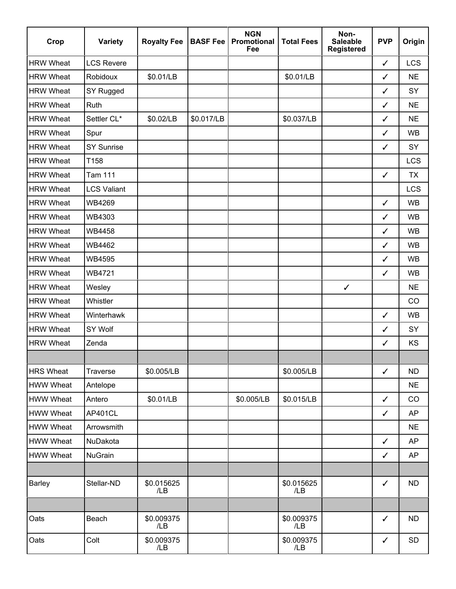| Crop             | <b>Variety</b>     | <b>Royalty Fee</b> | <b>BASF Fee</b> | <b>NGN</b><br>Promotional<br>Fee | <b>Total Fees</b> | Non-<br><b>Saleable</b><br><b>Registered</b> | <b>PVP</b>   | Origin     |
|------------------|--------------------|--------------------|-----------------|----------------------------------|-------------------|----------------------------------------------|--------------|------------|
| <b>HRW Wheat</b> | <b>LCS Revere</b>  |                    |                 |                                  |                   |                                              | $\checkmark$ | <b>LCS</b> |
| <b>HRW Wheat</b> | Robidoux           | \$0.01/LB          |                 |                                  | \$0.01/LB         |                                              | ✓            | <b>NE</b>  |
| <b>HRW Wheat</b> | SY Rugged          |                    |                 |                                  |                   |                                              | ✓            | SY         |
| <b>HRW Wheat</b> | Ruth               |                    |                 |                                  |                   |                                              | ✓            | <b>NE</b>  |
| <b>HRW Wheat</b> | Settler CL*        | \$0.02/LB          | \$0.017/LB      |                                  | \$0.037/LB        |                                              | ✓            | <b>NE</b>  |
| <b>HRW Wheat</b> | Spur               |                    |                 |                                  |                   |                                              | ✓            | <b>WB</b>  |
| <b>HRW Wheat</b> | <b>SY Sunrise</b>  |                    |                 |                                  |                   |                                              | $\checkmark$ | SY         |
| <b>HRW Wheat</b> | T158               |                    |                 |                                  |                   |                                              |              | <b>LCS</b> |
| <b>HRW Wheat</b> | <b>Tam 111</b>     |                    |                 |                                  |                   |                                              | $\checkmark$ | <b>TX</b>  |
| <b>HRW Wheat</b> | <b>LCS Valiant</b> |                    |                 |                                  |                   |                                              |              | <b>LCS</b> |
| <b>HRW Wheat</b> | WB4269             |                    |                 |                                  |                   |                                              | $\checkmark$ | <b>WB</b>  |
| <b>HRW Wheat</b> | WB4303             |                    |                 |                                  |                   |                                              | $\checkmark$ | <b>WB</b>  |
| <b>HRW Wheat</b> | <b>WB4458</b>      |                    |                 |                                  |                   |                                              | ✓            | <b>WB</b>  |
| <b>HRW Wheat</b> | WB4462             |                    |                 |                                  |                   |                                              | ✓            | <b>WB</b>  |
| <b>HRW Wheat</b> | WB4595             |                    |                 |                                  |                   |                                              | $\checkmark$ | <b>WB</b>  |
| <b>HRW Wheat</b> | WB4721             |                    |                 |                                  |                   |                                              | $\checkmark$ | <b>WB</b>  |
| <b>HRW Wheat</b> | Wesley             |                    |                 |                                  |                   | $\checkmark$                                 |              | <b>NE</b>  |
| <b>HRW Wheat</b> | Whistler           |                    |                 |                                  |                   |                                              |              | CO         |
| <b>HRW Wheat</b> | Winterhawk         |                    |                 |                                  |                   |                                              | $\checkmark$ | <b>WB</b>  |
| <b>HRW Wheat</b> | <b>SY Wolf</b>     |                    |                 |                                  |                   |                                              | ✓            | SY         |
| <b>HRW Wheat</b> | Zenda              |                    |                 |                                  |                   |                                              | ✓            | KS         |
|                  |                    |                    |                 |                                  |                   |                                              |              |            |
| <b>HRS Wheat</b> | Traverse           | \$0.005/LB         |                 |                                  | \$0.005/LB        |                                              | $\checkmark$ | <b>ND</b>  |
| <b>HWW Wheat</b> | Antelope           |                    |                 |                                  |                   |                                              |              | <b>NE</b>  |
| <b>HWW Wheat</b> | Antero             | \$0.01/LB          |                 | \$0.005/LB                       | \$0.015/LB        |                                              | $\checkmark$ | CO         |
| <b>HWW Wheat</b> | AP401CL            |                    |                 |                                  |                   |                                              | $\checkmark$ | AP         |
| <b>HWW Wheat</b> | Arrowsmith         |                    |                 |                                  |                   |                                              |              | <b>NE</b>  |
| <b>HWW Wheat</b> | NuDakota           |                    |                 |                                  |                   |                                              | $\checkmark$ | <b>AP</b>  |
| <b>HWW Wheat</b> | <b>NuGrain</b>     |                    |                 |                                  |                   |                                              | $\checkmark$ | <b>AP</b>  |
|                  |                    |                    |                 |                                  |                   |                                              |              |            |
| <b>Barley</b>    | Stellar-ND         | \$0.015625<br>/LB  |                 |                                  | \$0.015625<br>/LB |                                              | $\checkmark$ | <b>ND</b>  |
|                  |                    |                    |                 |                                  |                   |                                              |              |            |
| Oats             | Beach              | \$0.009375<br>/LB  |                 |                                  | \$0.009375<br>/LB |                                              | $\checkmark$ | <b>ND</b>  |
| Oats             | Colt               | \$0.009375<br>/LB  |                 |                                  | \$0.009375<br>/LB |                                              | $\checkmark$ | SD         |